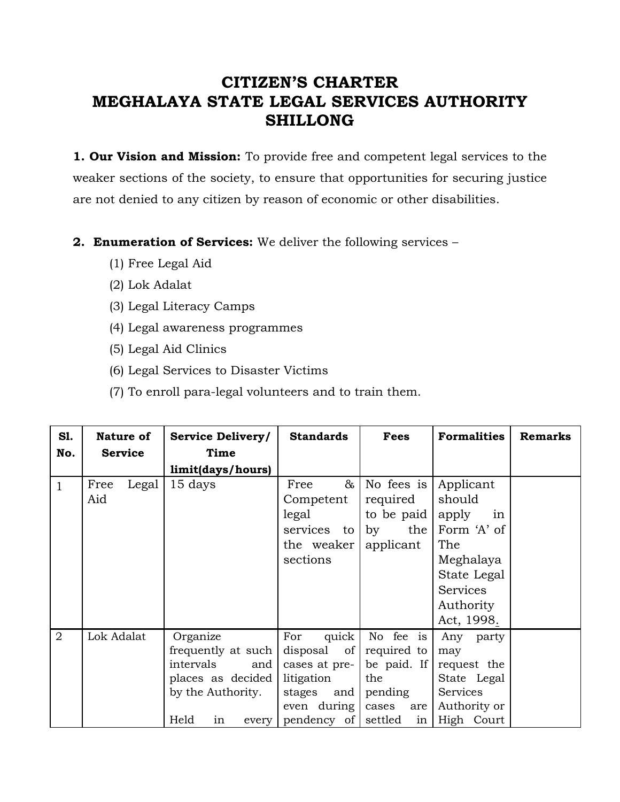# **CITIZEN'S CHARTER MEGHALAYA STATE LEGAL SERVICES AUTHORITY SHILLONG**

**1. Our Vision and Mission:** To provide free and competent legal services to the weaker sections of the society, to ensure that opportunities for securing justice are not denied to any citizen by reason of economic or other disabilities.

#### **2. Enumeration of Services:** We deliver the following services –

- (1) Free Legal Aid
- (2) Lok Adalat
- (3) Legal Literacy Camps
- (4) Legal awareness programmes
- (5) Legal Aid Clinics
- (6) Legal Services to Disaster Victims
- (7) To enroll para-legal volunteers and to train them.

| <b>S1.</b>     | Nature of            | <b>Service Delivery/</b>                                                                                            | <b>Standards</b>                                                                                         | Fees                                                                                       | <b>Formalities</b>                                                                                                                 | <b>Remarks</b> |
|----------------|----------------------|---------------------------------------------------------------------------------------------------------------------|----------------------------------------------------------------------------------------------------------|--------------------------------------------------------------------------------------------|------------------------------------------------------------------------------------------------------------------------------------|----------------|
| No.            | <b>Service</b>       | Time<br>limit(days/hours)                                                                                           |                                                                                                          |                                                                                            |                                                                                                                                    |                |
| $\mathbf{1}$   | Legal<br>Free<br>Aid | 15 days                                                                                                             | $\&$<br>Free<br>Competent<br>legal<br>services to<br>the weaker<br>sections                              | No fees is<br>required<br>to be paid<br>the  <br>by<br>applicant                           | Applicant<br>should<br>apply<br>in<br>Form 'A' of<br>The<br>Meghalaya<br>State Legal<br><b>Services</b><br>Authority<br>Act, 1998. |                |
| $\overline{2}$ | Lok Adalat           | Organize<br>frequently at such<br>intervals<br>and<br>places as decided<br>by the Authority.<br>Held<br>in<br>every | For<br>quick  <br>disposal of<br>cases at pre-<br>litigation<br>stages and<br>even during<br>pendency of | No fee is<br>required to<br>be paid. If<br>the<br>pending<br>cases<br>are<br>settled<br>in | Any party<br>may<br>request the<br>State Legal<br><b>Services</b><br>Authority or<br>High Court                                    |                |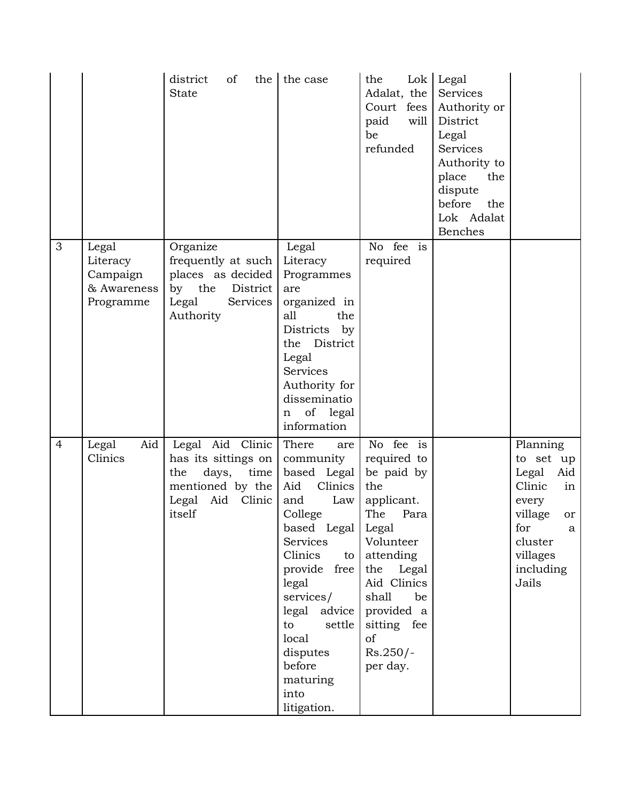|                |                                                           | district<br>of<br>the  <br><b>State</b>                                                                           | the case                                                                                                                                                                                                                                                                  | the<br>Adalat, the<br>Court fees<br>paid<br>will<br>be<br>refunded                                                                                                                                                       | Lok Legal<br>Services<br>Authority or<br>District<br>Legal<br>Services<br>Authority to<br>place<br>the<br>dispute<br>before<br>the<br>Lok Adalat<br>Benches |                                                                                                                                          |
|----------------|-----------------------------------------------------------|-------------------------------------------------------------------------------------------------------------------|---------------------------------------------------------------------------------------------------------------------------------------------------------------------------------------------------------------------------------------------------------------------------|--------------------------------------------------------------------------------------------------------------------------------------------------------------------------------------------------------------------------|-------------------------------------------------------------------------------------------------------------------------------------------------------------|------------------------------------------------------------------------------------------------------------------------------------------|
| 3              | Legal<br>Literacy<br>Campaign<br>& Awareness<br>Programme | Organize<br>frequently at such<br>places as decided<br>by the<br>District<br>Services<br>Legal<br>Authority       | Legal<br>Literacy<br>Programmes<br>are<br>organized in<br>all<br>the<br>Districts by<br>the District<br>Legal<br><b>Services</b><br>Authority for<br>disseminatio<br>of legal<br>n<br>information                                                                         | No fee is<br>required                                                                                                                                                                                                    |                                                                                                                                                             |                                                                                                                                          |
| $\overline{4}$ | Aid<br>Legal<br>Clinics                                   | Legal Aid Clinic<br>has its sittings on<br>days,<br>time<br>the<br>mentioned by the<br>Legal Aid Clinic<br>itself | There<br>are<br>community<br>based Legal<br>Clinics<br>Aid<br>Law<br>and<br>College<br>based Legal  <br>Services<br>Clinics<br>to<br>provide free<br>legal<br>services/<br>legal advice<br>settle<br>to<br>local<br>disputes<br>before<br>maturing<br>into<br>litigation. | No fee is<br>required to<br>be paid by<br>the<br>applicant.<br>The<br>Para<br>Legal<br>Volunteer<br>attending<br>Legal<br>the<br>Aid Clinics<br>shall<br>be<br>provided a<br>sitting fee<br>of<br>$Rs.250/-$<br>per day. |                                                                                                                                                             | Planning<br>to set up<br>Legal<br>Aid<br>Clinic<br>in<br>every<br>village<br>or<br>for<br>a<br>cluster<br>villages<br>including<br>Jails |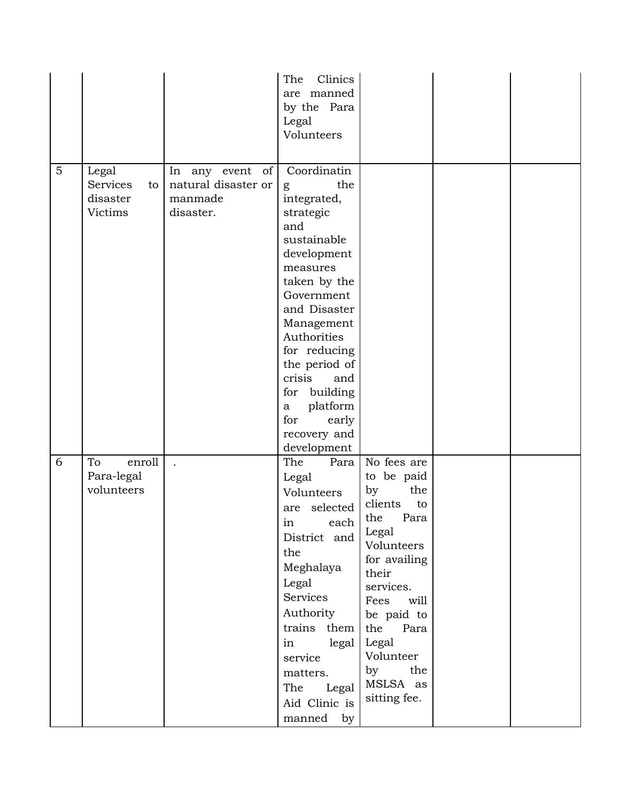|   |                                                |                                                                | Clinics<br>The<br>are manned<br>by the Para<br>Legal<br>Volunteers                                                                                                                                                                                                                                                |                                                                                                                                                                                                                                                 |  |
|---|------------------------------------------------|----------------------------------------------------------------|-------------------------------------------------------------------------------------------------------------------------------------------------------------------------------------------------------------------------------------------------------------------------------------------------------------------|-------------------------------------------------------------------------------------------------------------------------------------------------------------------------------------------------------------------------------------------------|--|
| 5 | Legal<br>Services<br>to<br>disaster<br>Victims | In any event of<br>natural disaster or<br>manmade<br>disaster. | Coordinatin<br>the<br>g<br>integrated,<br>strategic<br>and<br>sustainable<br>development<br>measures<br>taken by the<br>Government<br>and Disaster<br>Management<br>Authorities<br>for reducing<br>the period of<br>crisis<br>and<br>for building<br>platform<br>a<br>early<br>for<br>recovery and<br>development |                                                                                                                                                                                                                                                 |  |
| 6 | To<br>enroll<br>Para-legal<br>volunteers       |                                                                | The<br>Para<br>Legal<br>Volunteers<br>selected<br>are<br>in each<br>District and<br>the<br>Meghalaya<br>Legal<br>Services<br>Authority<br>trains them<br>legal<br>in<br>service<br>matters.<br>The<br>Legal<br>Aid Clinic is<br>manned by                                                                         | No fees are<br>to be paid<br>the<br>by<br>clients<br>to<br>Para<br>the<br>Legal<br>Volunteers<br>for availing<br>their<br>services.<br>Fees<br>will<br>be paid to<br>the<br>Para<br>Legal<br>Volunteer<br>by<br>the<br>MSLSA as<br>sitting fee. |  |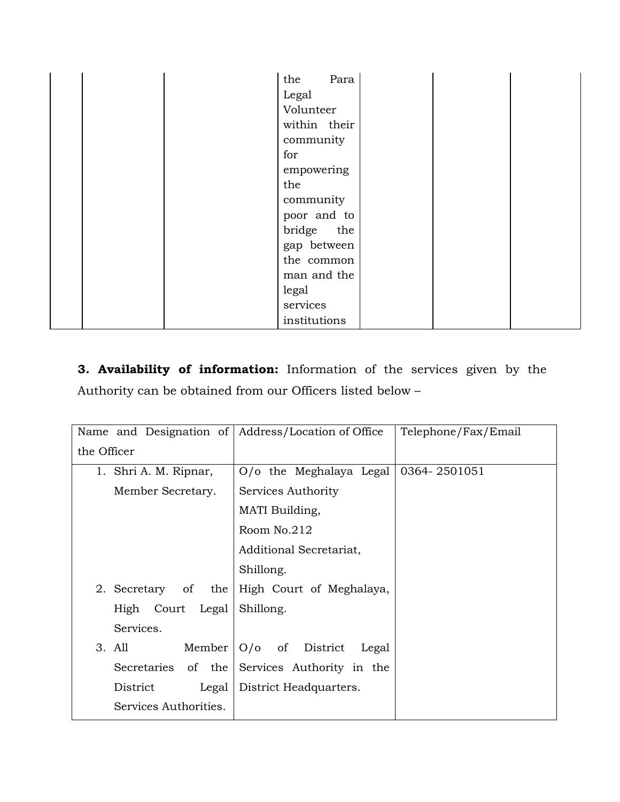| Para<br>the  |
|--------------|
| Legal        |
| Volunteer    |
| within their |
| community    |
| for          |
| empowering   |
| the          |
| community    |
| poor and to  |
| bridge the   |
| gap between  |
| the common   |
| man and the  |
| legal        |
| services     |
| institutions |

**3. Availability of information:** Information of the services given by the Authority can be obtained from our Officers listed below –

| Name and Designation of Address/Location of Office |                                              | Telephone/Fax/Email |
|----------------------------------------------------|----------------------------------------------|---------------------|
| the Officer                                        |                                              |                     |
| 1. Shri A. M. Ripnar,                              | O/o the Meghalaya Legal                      | 0364-2501051        |
| Member Secretary.                                  | Services Authority                           |                     |
|                                                    | MATI Building,                               |                     |
|                                                    | Room No.212                                  |                     |
|                                                    | Additional Secretariat,                      |                     |
|                                                    | Shillong.                                    |                     |
| 2. Secretary of<br>the                             | High Court of Meghalaya,                     |                     |
| High Court Legal                                   | Shillong.                                    |                     |
| Services.                                          |                                              |                     |
| 3. All<br>Member                                   | $O/O$ of District<br>Legal                   |                     |
|                                                    | Secretaries of the Services Authority in the |                     |
| District<br>Legal                                  | District Headquarters.                       |                     |
| Services Authorities.                              |                                              |                     |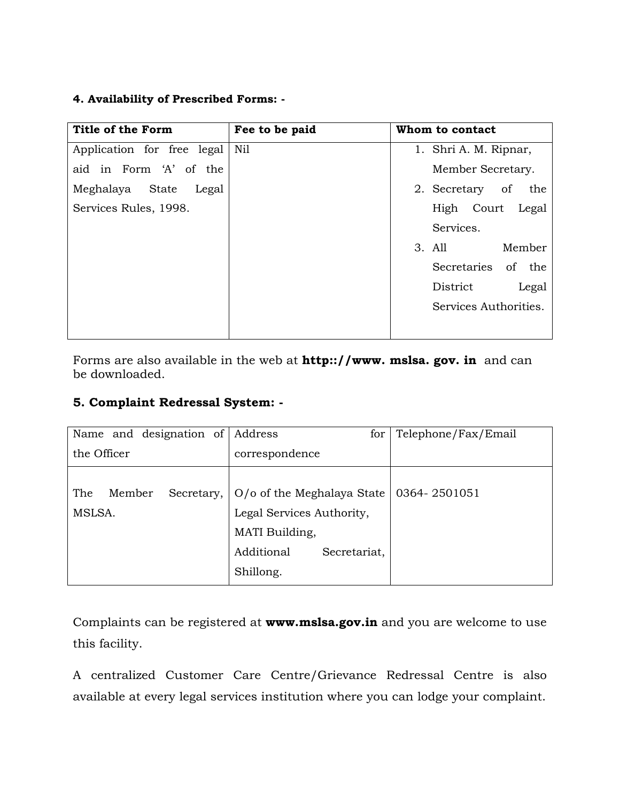#### **4. Availability of Prescribed Forms: -**

| Title of the Form          | Fee to be paid | Whom to contact        |
|----------------------------|----------------|------------------------|
| Application for free legal | Nil            | 1. Shri A. M. Ripnar,  |
| aid in Form 'A' of the     |                | Member Secretary.      |
| Meghalaya State<br>Legal   |                | 2. Secretary of<br>the |
| Services Rules, 1998.      |                | High Court<br>Legal    |
|                            |                | Services.              |
|                            |                | Member<br>3. All       |
|                            |                | Secretaries of the     |
|                            |                | District<br>Legal      |
|                            |                | Services Authorities.  |
|                            |                |                        |

Forms are also available in the web at **http:://www. mslsa. gov. in** and can be downloaded.

### **5. Complaint Redressal System: -**

| Name and designation of Address       | for                                                                                                                     | Telephone/Fax/Email |
|---------------------------------------|-------------------------------------------------------------------------------------------------------------------------|---------------------|
| the Officer                           | correspondence                                                                                                          |                     |
| The<br>Member<br>Secretary,<br>MSLSA. | $O$ /o of the Meghalaya State<br>Legal Services Authority,<br>MATI Building,<br>Additional<br>Secretariat,<br>Shillong. | 0364-2501051        |

Complaints can be registered at **www.mslsa.gov.in** and you are welcome to use this facility.

A centralized Customer Care Centre/Grievance Redressal Centre is also available at every legal services institution where you can lodge your complaint.